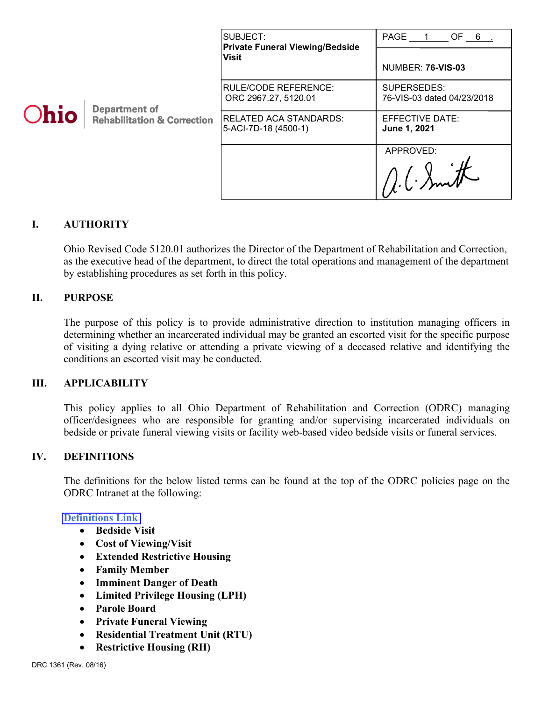| <b>Ohio</b> | <b>Department of</b><br><b>Rehabilitation &amp; Correction</b> | SUBJECT:<br><b>Private Funeral Viewing/Bedside</b><br><b>Visit</b> | PAGE 1<br>OF 6.<br><b>NUMBER: 76-VIS-03</b> |
|-------------|----------------------------------------------------------------|--------------------------------------------------------------------|---------------------------------------------|
|             |                                                                | RULE/CODE REFERENCE:<br>ORC 2967.27, 5120.01                       | SUPERSEDES:<br>76-VIS-03 dated 04/23/2018   |
|             |                                                                | RELATED ACA STANDARDS:<br>5-ACI-7D-18 (4500-1)                     | EFFECTIVE DATE:<br>June 1, 2021             |
|             |                                                                |                                                                    | APPROVED:<br>$116.6$ Smith                  |

## **I. AUTHORITY**

Ohio Revised Code 5120.01 authorizes the Director of the Department of Rehabilitation and Correction, as the executive head of the department, to direct the total operations and management of the department by establishing procedures as set forth in this policy.

## **II. PURPOSE**

The purpose of this policy is to provide administrative direction to institution managing officers in determining whether an incarcerated individual may be granted an escorted visit for the specific purpose of visiting a dying relative or attending a private viewing of a deceased relative and identifying the conditions an escorted visit may be conducted.

### **III. APPLICABILITY**

This policy applies to all Ohio Department of Rehabilitation and Correction (ODRC) managing officer/designees who are responsible for granting and/or supervising incarcerated individuals on bedside or private funeral viewing visits or facility web-based video bedside visits or funeral services.

## **IV. DEFINITIONS**

The definitions for the below listed terms can be found at the top of the ODRC policies page on the ODRC Intranet at the following:

### **[Definitions](http://intra/policies/pagecontent/files/Policy%20Definition%20Spreadsheet%20-%20Intranet%202021.pdf) Link**

- **Bedside Visit**
- **Cost of Viewing/Visit**
- **Extended Restrictive Housing**
- **Family Member**
- **Imminent Danger of Death**
- **Limited Privilege Housing (LPH)**
- **Parole Board**
- **Private Funeral Viewing**
- **Residential Treatment Unit (RTU)**
- **Restrictive Housing (RH)**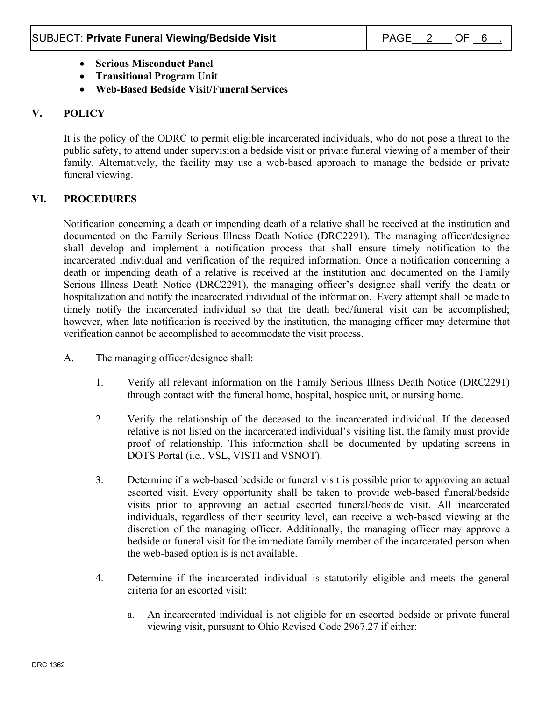- **Serious Misconduct Panel**
- **Transitional Program Unit**
- **Web-Based Bedside Visit/Funeral Services**

# **V. POLICY**

It is the policy of the ODRC to permit eligible incarcerated individuals, who do not pose a threat to the public safety, to attend under supervision a bedside visit or private funeral viewing of a member of their family. Alternatively, the facility may use a web-based approach to manage the bedside or private funeral viewing.

## **VI. PROCEDURES**

Notification concerning a death or impending death of a relative shall be received at the institution and documented on the Family Serious Illness Death Notice (DRC2291). The managing officer/designee shall develop and implement a notification process that shall ensure timely notification to the incarcerated individual and verification of the required information. Once a notification concerning a death or impending death of a relative is received at the institution and documented on the Family Serious Illness Death Notice (DRC2291), the managing officer's designee shall verify the death or hospitalization and notify the incarcerated individual of the information. Every attempt shall be made to timely notify the incarcerated individual so that the death bed/funeral visit can be accomplished; however, when late notification is received by the institution, the managing officer may determine that verification cannot be accomplished to accommodate the visit process.

- A. The managing officer/designee shall:
	- 1. Verify all relevant information on the Family Serious Illness Death Notice (DRC2291) through contact with the funeral home, hospital, hospice unit, or nursing home.
	- 2. Verify the relationship of the deceased to the incarcerated individual. If the deceased relative is not listed on the incarcerated individual's visiting list, the family must provide proof of relationship. This information shall be documented by updating screens in DOTS Portal (i.e., VSL, VISTI and VSNOT).
	- 3. Determine if a web-based bedside or funeral visit is possible prior to approving an actual escorted visit. Every opportunity shall be taken to provide web-based funeral/bedside visits prior to approving an actual escorted funeral/bedside visit. All incarcerated individuals, regardless of their security level, can receive a web-based viewing at the discretion of the managing officer. Additionally, the managing officer may approve a bedside or funeral visit for the immediate family member of the incarcerated person when the web-based option is is not available.
	- 4. Determine if the incarcerated individual is statutorily eligible and meets the general criteria for an escorted visit:
		- a. An incarcerated individual is not eligible for an escorted bedside or private funeral viewing visit, pursuant to Ohio Revised Code 2967.27 if either: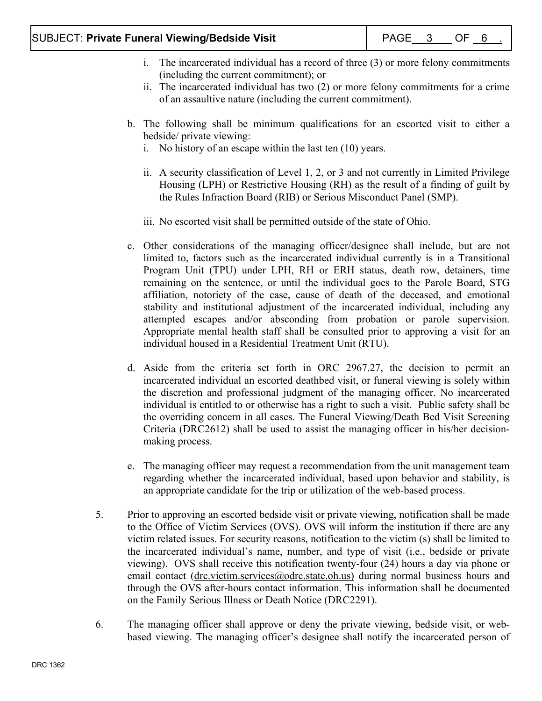- i. The incarcerated individual has a record of three (3) or more felony commitments (including the current commitment); or
- ii. The incarcerated individual has two (2) or more felony commitments for a crime of an assaultive nature (including the current commitment).
- b. The following shall be minimum qualifications for an escorted visit to either a bedside/ private viewing:
	- i. No history of an escape within the last ten (10) years.
	- ii. A security classification of Level 1, 2, or 3 and not currently in Limited Privilege Housing (LPH) or Restrictive Housing (RH) as the result of a finding of guilt by the Rules Infraction Board (RIB) or Serious Misconduct Panel (SMP).
	- iii. No escorted visit shall be permitted outside of the state of Ohio.
- c. Other considerations of the managing officer/designee shall include, but are not limited to, factors such as the incarcerated individual currently is in a Transitional Program Unit (TPU) under LPH, RH or ERH status, death row, detainers, time remaining on the sentence, or until the individual goes to the Parole Board, STG affiliation, notoriety of the case, cause of death of the deceased, and emotional stability and institutional adjustment of the incarcerated individual, including any attempted escapes and/or absconding from probation or parole supervision. Appropriate mental health staff shall be consulted prior to approving a visit for an individual housed in a Residential Treatment Unit (RTU).
- d. Aside from the criteria set forth in ORC 2967.27, the decision to permit an incarcerated individual an escorted deathbed visit, or funeral viewing is solely within the discretion and professional judgment of the managing officer. No incarcerated individual is entitled to or otherwise has a right to such a visit. Public safety shall be the overriding concern in all cases. The Funeral Viewing/Death Bed Visit Screening Criteria (DRC2612) shall be used to assist the managing officer in his/her decisionmaking process.
- e. The managing officer may request a recommendation from the unit management team regarding whether the incarcerated individual, based upon behavior and stability, is an appropriate candidate for the trip or utilization of the web-based process.
- 5. Prior to approving an escorted bedside visit or private viewing, notification shall be made to the Office of Victim Services (OVS). OVS will inform the institution if there are any victim related issues. For security reasons, notification to the victim (s) shall be limited to the incarcerated individual's name, number, and type of visit (i.e., bedside or private viewing). OVS shall receive this notification twenty-four (24) hours a day via phone or email contact (drc.victim.services@odrc.state.oh.us) during normal business hours and through the OVS after-hours contact information. This information shall be documented on the Family Serious Illness or Death Notice (DRC2291).
- 6. The managing officer shall approve or deny the private viewing, bedside visit, or webbased viewing. The managing officer's designee shall notify the incarcerated person of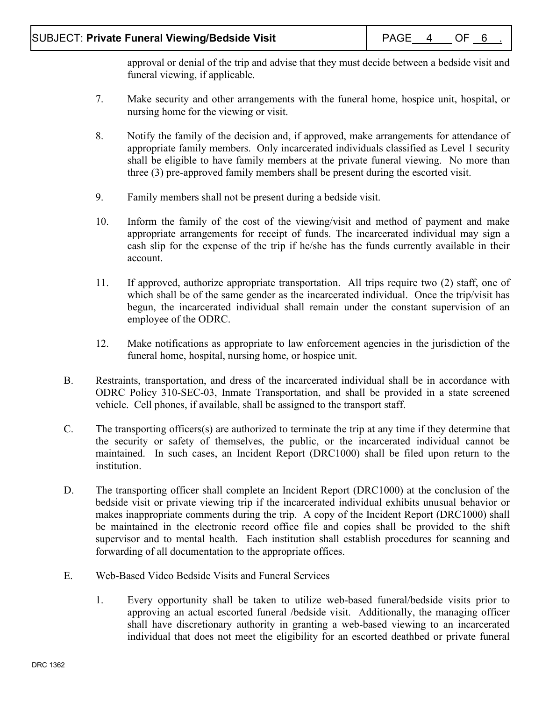approval or denial of the trip and advise that they must decide between a bedside visit and funeral viewing, if applicable.

- 7. Make security and other arrangements with the funeral home, hospice unit, hospital, or nursing home for the viewing or visit.
- 8. Notify the family of the decision and, if approved, make arrangements for attendance of appropriate family members. Only incarcerated individuals classified as Level 1 security shall be eligible to have family members at the private funeral viewing. No more than three (3) pre-approved family members shall be present during the escorted visit.
- 9. Family members shall not be present during a bedside visit.
- 10. Inform the family of the cost of the viewing/visit and method of payment and make appropriate arrangements for receipt of funds. The incarcerated individual may sign a cash slip for the expense of the trip if he/she has the funds currently available in their account.
- 11. If approved, authorize appropriate transportation. All trips require two (2) staff, one of which shall be of the same gender as the incarcerated individual. Once the trip/visit has begun, the incarcerated individual shall remain under the constant supervision of an employee of the ODRC.
- 12. Make notifications as appropriate to law enforcement agencies in the jurisdiction of the funeral home, hospital, nursing home, or hospice unit.
- B. Restraints, transportation, and dress of the incarcerated individual shall be in accordance with ODRC Policy 310-SEC-03, Inmate Transportation, and shall be provided in a state screened vehicle. Cell phones, if available, shall be assigned to the transport staff.
- C. The transporting officers(s) are authorized to terminate the trip at any time if they determine that the security or safety of themselves, the public, or the incarcerated individual cannot be maintained. In such cases, an Incident Report (DRC1000) shall be filed upon return to the institution.
- D. The transporting officer shall complete an Incident Report (DRC1000) at the conclusion of the bedside visit or private viewing trip if the incarcerated individual exhibits unusual behavior or makes inappropriate comments during the trip. A copy of the Incident Report (DRC1000) shall be maintained in the electronic record office file and copies shall be provided to the shift supervisor and to mental health. Each institution shall establish procedures for scanning and forwarding of all documentation to the appropriate offices.
- E. Web-Based Video Bedside Visits and Funeral Services
	- 1. Every opportunity shall be taken to utilize web-based funeral/bedside visits prior to approving an actual escorted funeral /bedside visit. Additionally, the managing officer shall have discretionary authority in granting a web-based viewing to an incarcerated individual that does not meet the eligibility for an escorted deathbed or private funeral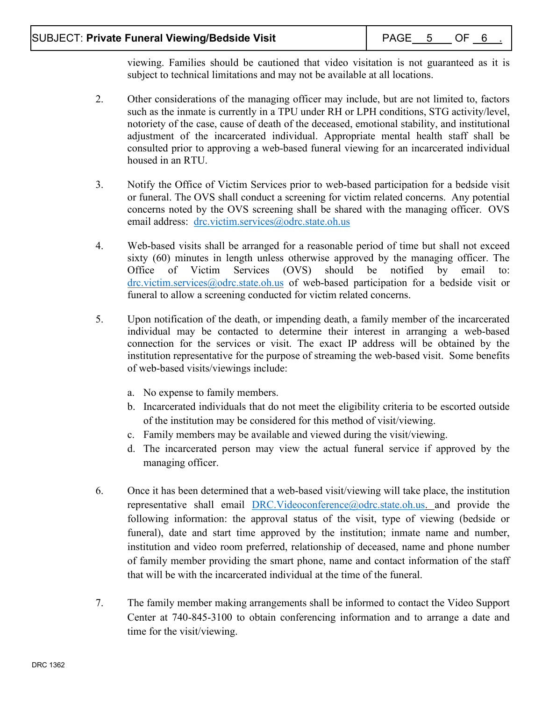viewing. Families should be cautioned that video visitation is not guaranteed as it is subject to technical limitations and may not be available at all locations.

- 2. Other considerations of the managing officer may include, but are not limited to, factors such as the inmate is currently in a TPU under RH or LPH conditions, STG activity/level, notoriety of the case, cause of death of the deceased, emotional stability, and institutional adjustment of the incarcerated individual. Appropriate mental health staff shall be consulted prior to approving a web-based funeral viewing for an incarcerated individual housed in an RTU.
- 3. Notify the Office of Victim Services prior to web-based participation for a bedside visit or funeral. The OVS shall conduct a screening for victim related concerns. Any potential concerns noted by the OVS screening shall be shared with the managing officer. OVS email address: [drc.victim.services@odrc.state.oh.us](mailto:drc.victim.services@odrc.state.oh.us)
- 4. Web-based visits shall be arranged for a reasonable period of time but shall not exceed sixty (60) minutes in length unless otherwise approved by the managing officer. The Office of Victim Services (OVS) should be notified by email to: [drc.victim.services@odrc.state.oh.us](mailto:drc.victim.services@odrc.state.oh.us) of web-based participation for a bedside visit or funeral to allow a screening conducted for victim related concerns.
- 5. Upon notification of the death, or impending death, a family member of the incarcerated individual may be contacted to determine their interest in arranging a web-based connection for the services or visit. The exact IP address will be obtained by the institution representative for the purpose of streaming the web-based visit. Some benefits of web-based visits/viewings include:
	- a. No expense to family members.
	- b. Incarcerated individuals that do not meet the eligibility criteria to be escorted outside of the institution may be considered for this method of visit/viewing.
	- c. Family members may be available and viewed during the visit/viewing.
	- d. The incarcerated person may view the actual funeral service if approved by the managing officer.
- 6. Once it has been determined that a web-based visit/viewing will take place, the institution representative shall email [DRC.Videoconference@odrc.state.oh.us.](mailto:DRC.Videoconference@odrc.state.oh.us) and provide the following information: the approval status of the visit, type of viewing (bedside or funeral), date and start time approved by the institution; inmate name and number, institution and video room preferred, relationship of deceased, name and phone number of family member providing the smart phone, name and contact information of the staff that will be with the incarcerated individual at the time of the funeral.
- 7. The family member making arrangements shall be informed to contact the Video Support Center at 740-845-3100 to obtain conferencing information and to arrange a date and time for the visit/viewing.